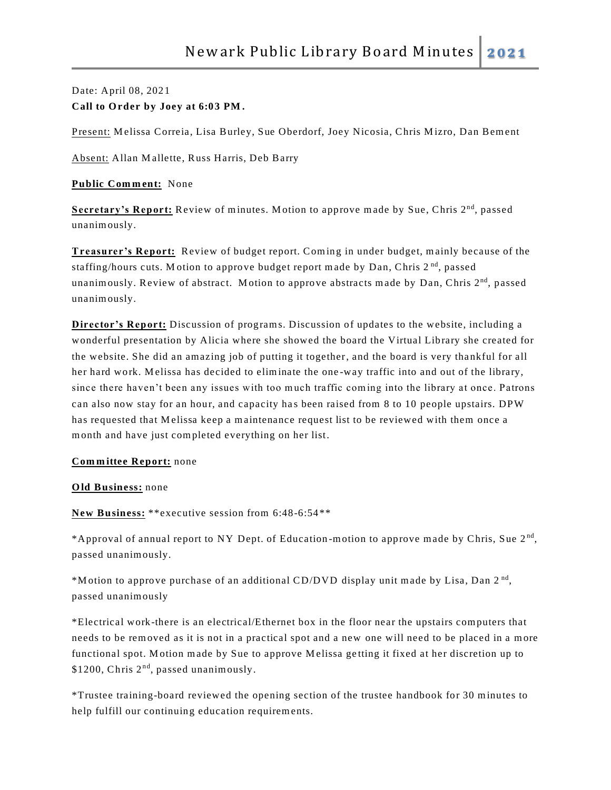## Date: April 08, 2021 **Call to O rder by Joey at 6:03 PM .**

Present: Melissa Correia, Lisa Burley, Sue Oberdorf, Joey Nicosia, Chris Mizro, Dan Bement

Absent: Allan M allette, Russ Harris, Deb Barry

Public Comment: None

Secretary's Report: Review of minutes. Motion to approve made by Sue, Chris 2<sup>nd</sup>, passed unanim ously.

**Treasurer's Report:** Review of budget report. Coming in under budget, mainly because of the staffing/hours cuts. Motion to approve budget report made by Dan, Chris 2<sup>nd</sup>, passed unanimously. Review of abstract. Motion to approve abstracts made by Dan, Chris 2<sup>nd</sup>, passed unanim ously.

**Director's Report:** Discussion of programs. Discussion of updates to the website, including a wonderful presentation by Alicia where she showed the board the Virtual Library she created for the website. She did an amazing job of putting it together, and the board is very tha nkful for all her hard work. M elissa has decided to elim inate the one -way traffic into and out of the library, since there haven't been any issues with too much traffic coming into the library at once. Patrons can also now stay for an hour, and capacity has been raised from 8 to 10 people upstairs. DPW has requested that Melissa keep a maintenance request list to be reviewed with them once a m onth and have just com pleted everything on her list.

## **Com m ittee Report:** none

## **O ld Business:** none

**New Business:** \*\*executive session from 6:48-6:54\*\*

\*Approval of annual report to NY Dept. of Education-motion to approve made by Chris, Sue  $2<sup>nd</sup>$ , passed unanim ously.

\*Motion to approve purchase of an additional CD/DVD display unit made by Lisa, Dan 2<sup>nd</sup>, passed unanim ously

\*Electrical work-there is an electrical/Ethernet box in the floor near the upstairs com puters that needs to be removed as it is not in a practical spot and a new one will need to be placed in a more functional spot. Motion made by Sue to approve Melissa getting it fixed at her discretion up to \$1200, Chris 2<sup>nd</sup>, passed unanimously.

\*Trustee training-board reviewed the opening section of the trustee handbook for 30 m inutes to help fulfill our continuing education requirements.